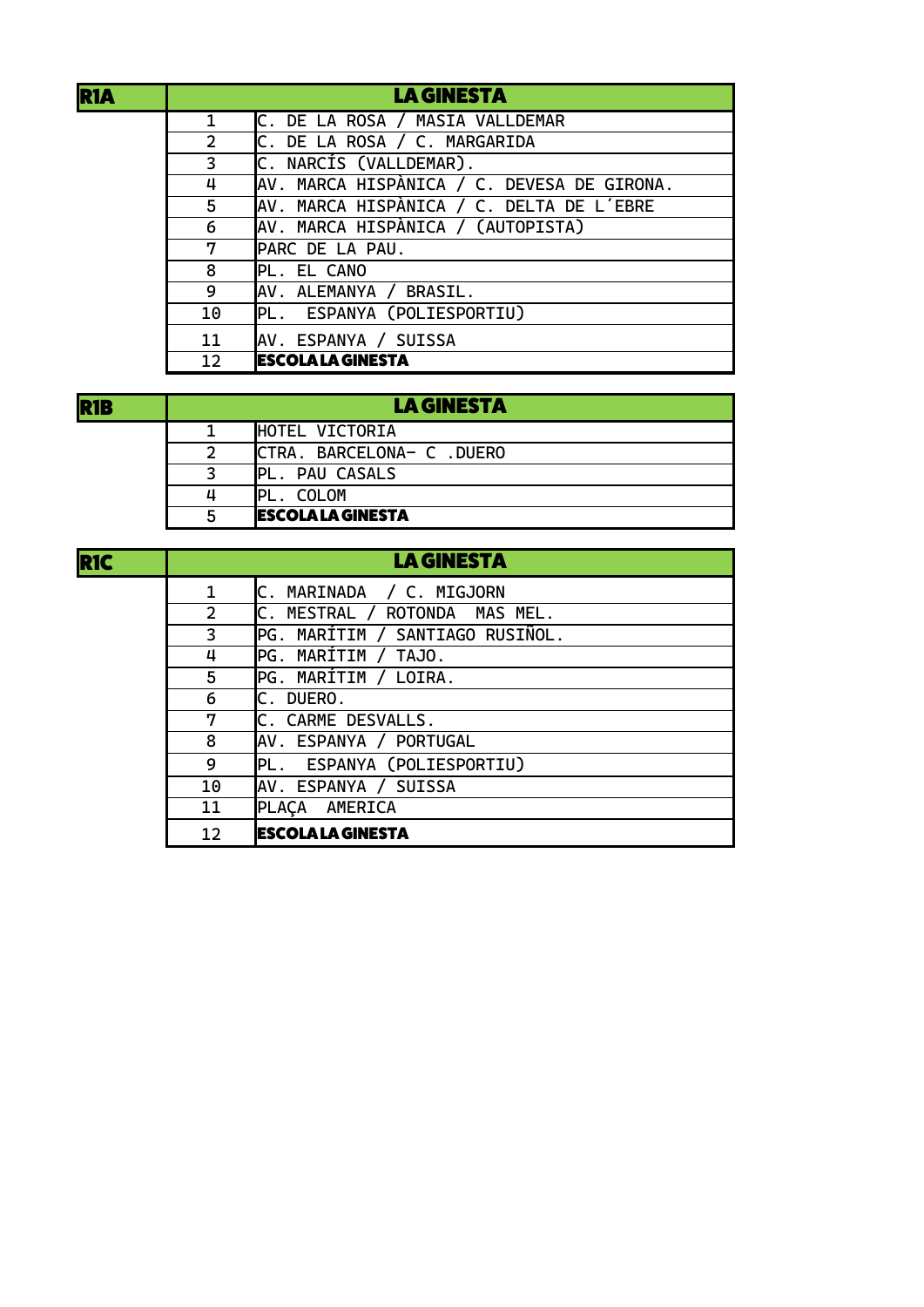| and the state of the state of the state of the state of the state of the state of the state of the state of th<br><b>Service Service</b> | <b>Service Service</b><br><b>Contract Contract Contract Contract Contract Contract Contract Contract Contract Contract Contract Contract Co</b> |
|------------------------------------------------------------------------------------------------------------------------------------------|-------------------------------------------------------------------------------------------------------------------------------------------------|
|                                                                                                                                          |                                                                                                                                                 |
|                                                                                                                                          |                                                                                                                                                 |

| <b>R1A</b> |                | <b>LA GINESTA</b>                          |
|------------|----------------|--------------------------------------------|
|            | $\mathbf{1}$   | C. DE LA ROSA / MASIA VALLDEMAR            |
|            | $\overline{2}$ | C. DE LA ROSA / C. MARGARIDA               |
|            | 3              | C. NARCÍS (VALLDEMAR).                     |
|            | 4              | AV. MARCA HISPÀNICA / C. DEVESA DE GIRONA. |
|            | 5              | AV. MARCA HISPÀNICA / C. DELTA DE L'EBRE   |
|            | 6              | AV. MARCA HISPÀNICA / (AUTOPISTA)          |
|            | 7              | PARC DE LA PAU.                            |
|            | 8              | PL. EL CANO                                |
|            | 9              | AV. ALEMANYA / BRASIL.                     |
|            | 10             | PL. ESPANYA (POLIESPORTIU)                 |
|            | 11             | AV. ESPANYA / SUISSA                       |
|            | 12             | <b>ESCOLA LA GINESTA</b>                   |

| <b>R1B</b> | <b>LA GINESTA</b> |                            |
|------------|-------------------|----------------------------|
|            |                   | HOTEL VICTORIA             |
|            |                   | ICTRA. BARCELONA- C .DUERO |
|            |                   | PL. PAU CASALS             |
|            | Д                 | <b>IPI</b><br>COLOM        |
|            |                   | <b>IESCOLA LA GINESTA</b>  |

| <b>RIC</b> |                | <b>LA GINESTA</b>               |
|------------|----------------|---------------------------------|
|            | $\mathbf{1}$   | C. MARINADA / C. MIGJORN        |
|            | $\overline{2}$ | C. MESTRAL / ROTONDA MAS MEL.   |
|            | 3              | PG. MARÍTIM / SANTIAGO RUSIÑOL. |
|            | 4              | PG. MARÍTIM / TAJO.             |
|            | 5              | PG. MARÍTIM / LOIRA.            |
|            | 6              | C. DUERO.                       |
|            | 7              | C. CARME DESVALLS.              |
|            | 8              | AV. ESPANYA / PORTUGAL          |
|            | 9              | PL. ESPANYA (POLIESPORTIU)      |
|            | 10             | AV. ESPANYA / SUISSA            |
|            | 11             | PLACA AMERICA                   |
|            | 12             | <b>ESCOLA LA GINESTA</b>        |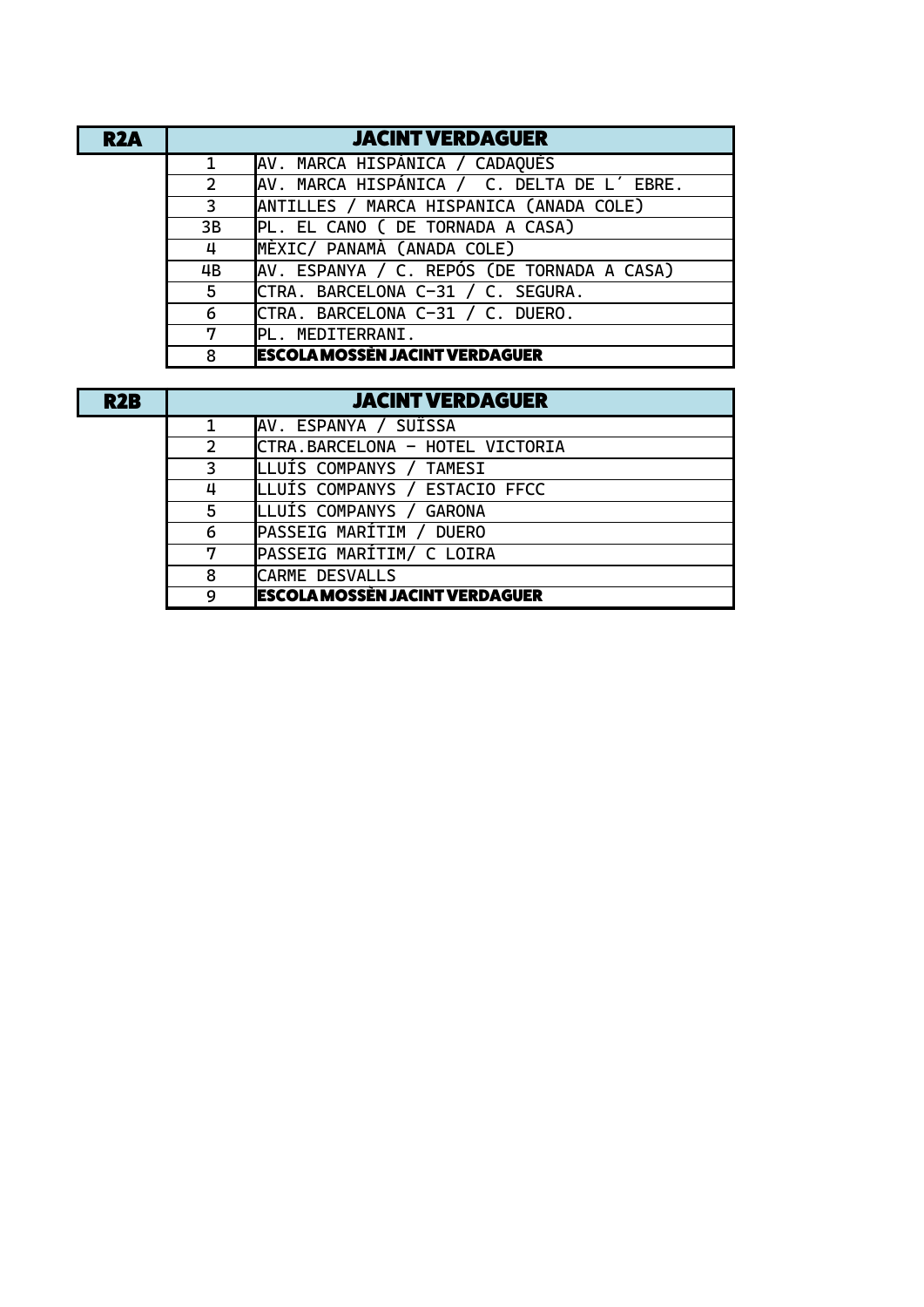| R <sub>2</sub> A | <b>JACINT VERDAGUER</b> |                                            |  |
|------------------|-------------------------|--------------------------------------------|--|
|                  | $\mathbf{1}$            | AV. MARCA HISPÁNICA / CADAQUÉS             |  |
|                  | $\overline{2}$          | AV. MARCA HISPÁNICA / C. DELTA DE L'EBRE.  |  |
|                  | 3                       | ANTILLES / MARCA HISPANICA (ANADA COLE)    |  |
|                  | 3B                      | PL. EL CANO ( DE TORNADA A CASA)           |  |
|                  | 4                       | MÈXIC/ PANAMÀ (ANADA COLE)                 |  |
|                  | 4B                      | AV. ESPANYA / C. REPÓS (DE TORNADA A CASA) |  |
|                  | 5                       | CTRA. BARCELONA C-31 / C. SEGURA.          |  |
|                  | 6                       | CTRA. BARCELONA C-31 / C. DUERO.           |  |
|                  | 7                       | PL. MEDITERRANI.                           |  |
|                  | 8                       | <b>ESCOLA MOSSÈN JACINT VERDAGUER</b>      |  |

| <b>R2B</b> | <b>JACINT VERDAGUER</b> |                                       |  |
|------------|-------------------------|---------------------------------------|--|
|            |                         | AV. ESPANYA / SUÏSSA                  |  |
|            | $\overline{2}$          | CTRA.BARCELONA - HOTEL VICTORIA       |  |
|            | 3                       | LLUÍS COMPANYS / TAMESI               |  |
|            | 4                       | LLUÍS COMPANYS / ESTACIO FFCC         |  |
|            | 5                       | LLUÍS COMPANYS / GARONA               |  |
|            | 6                       | PASSEIG MARÍTIM / DUERO               |  |
|            | 7                       | PASSEIG MARÍTIM/ C LOIRA              |  |
|            | 8                       | <b>CARME DESVALLS</b>                 |  |
|            | 9                       | <b>ESCOLA MOSSÈN JACINT VERDAGUER</b> |  |